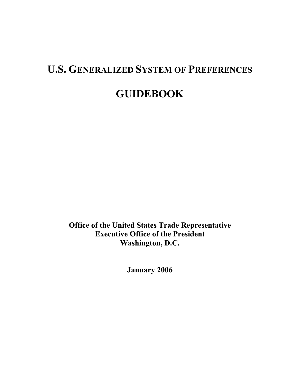# **U.S. GENERALIZED SYSTEM OF PREFERENCES GUIDEBOOK**

**Office of the United States Trade Representative Executive Office of the President Washington, D.C.** 

 **January 2006**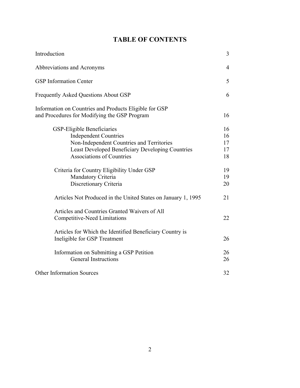|  |  | <b>TABLE OF CONTENTS</b> |
|--|--|--------------------------|
|--|--|--------------------------|

| Introduction                                                                                                                                                                                                  | 3                          |
|---------------------------------------------------------------------------------------------------------------------------------------------------------------------------------------------------------------|----------------------------|
| Abbreviations and Acronyms                                                                                                                                                                                    | $\overline{4}$             |
| <b>GSP</b> Information Center                                                                                                                                                                                 | 5                          |
| <b>Frequently Asked Questions About GSP</b>                                                                                                                                                                   | 6                          |
| Information on Countries and Products Eligible for GSP<br>and Procedures for Modifying the GSP Program                                                                                                        | 16                         |
| <b>GSP-Eligible Beneficiaries</b><br><b>Independent Countries</b><br>Non-Independent Countries and Territories<br><b>Least Developed Beneficiary Developing Countries</b><br><b>Associations of Countries</b> | 16<br>16<br>17<br>17<br>18 |
| Criteria for Country Eligibility Under GSP<br>Mandatory Criteria<br>Discretionary Criteria                                                                                                                    | 19<br>19<br>20             |
| Articles Not Produced in the United States on January 1, 1995                                                                                                                                                 | 21                         |
| Articles and Countries Granted Waivers of All<br><b>Competitive-Need Limitations</b>                                                                                                                          | 22                         |
| Articles for Which the Identified Beneficiary Country is<br>Ineligible for GSP Treatment                                                                                                                      | 26                         |
| Information on Submitting a GSP Petition<br><b>General Instructions</b>                                                                                                                                       | 26<br>26                   |
| <b>Other Information Sources</b>                                                                                                                                                                              | 32                         |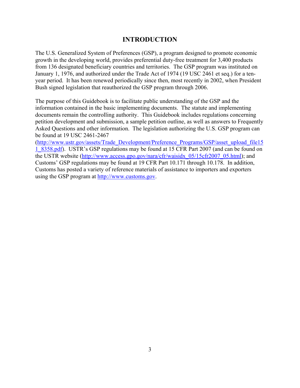# **INTRODUCTION**

The U.S. Generalized System of Preferences (GSP), a program designed to promote economic growth in the developing world, provides preferential duty-free treatment for 3,400 products from 136 designated beneficiary countries and territories. The GSP program was instituted on January 1, 1976, and authorized under the Trade Act of 1974 (19 USC 2461 et seq.) for a tenyear period. It has been renewed periodically since then, most recently in 2002, when President Bush signed legislation that reauthorized the GSP program through 2006.

The purpose of this Guidebook is to facilitate public understanding of the GSP and the information contained in the basic implementing documents. The statute and implementing documents remain the controlling authority. This Guidebook includes regulations concerning petition development and submission, a sample petition outline, as well as answers to Frequently Asked Questions and other information. The legislation authorizing the U.S. GSP program can be found at 19 USC 2461-2467

([http://www.ustr.gov/assets/Trade\\_Development/Preference\\_Programs/GSP/asset\\_upload\\_file15](http://www.ustr.gov/assets/Trade_Development/Preference_Programs/GSP/asset_upload_file15) 1\_8358.pdf). USTR's GSP regulations may be found at 15 CFR Part 2007 (and can be found on the USTR website (http://www.access.gpo.gov/nara/cfr/waisidx 05/15cfr2007 05.html); and Customs' GSP regulations may be found at 19 CFR Part 10.171 through 10.178. In addition, Customs has posted a variety of reference materials of assistance to importers and exporters using the GSP program at [http://www.customs.gov.](http://www.customs.gov)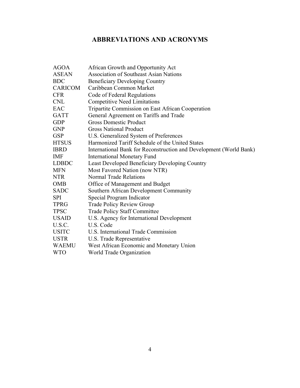# **ABBREVIATIONS AND ACRONYMS**

| <b>AGOA</b>    | African Growth and Opportunity Act                                 |
|----------------|--------------------------------------------------------------------|
| <b>ASEAN</b>   | <b>Association of Southeast Asian Nations</b>                      |
| <b>BDC</b>     | <b>Beneficiary Developing Country</b>                              |
| <b>CARICOM</b> | Caribbean Common Market                                            |
| <b>CFR</b>     | Code of Federal Regulations                                        |
| <b>CNL</b>     | <b>Competitive Need Limitations</b>                                |
| EAC            | Tripartite Commission on East African Cooperation                  |
| <b>GATT</b>    | General Agreement on Tariffs and Trade                             |
| <b>GDP</b>     | <b>Gross Domestic Product</b>                                      |
| <b>GNP</b>     | <b>Gross National Product</b>                                      |
| <b>GSP</b>     | U.S. Generalized System of Preferences                             |
| <b>HTSUS</b>   | Harmonized Tariff Schedule of the United States                    |
| <b>IBRD</b>    | International Bank for Reconstruction and Development (World Bank) |
| <b>IMF</b>     | <b>International Monetary Fund</b>                                 |
| <b>LDBDC</b>   | <b>Least Developed Beneficiary Developing Country</b>              |
| <b>MFN</b>     | Most Favored Nation (now NTR)                                      |
| <b>NTR</b>     | <b>Normal Trade Relations</b>                                      |
| <b>OMB</b>     | Office of Management and Budget                                    |
| <b>SADC</b>    | Southern African Development Community                             |
| <b>SPI</b>     | Special Program Indicator                                          |
| <b>TPRG</b>    | <b>Trade Policy Review Group</b>                                   |
| <b>TPSC</b>    | <b>Trade Policy Staff Committee</b>                                |
| <b>USAID</b>   | U.S. Agency for International Development                          |
| U.S.C.         | U.S. Code                                                          |
| <b>USITC</b>   | U.S. International Trade Commission                                |
| <b>USTR</b>    | U.S. Trade Representative                                          |
| <b>WAEMU</b>   | West African Economic and Monetary Union                           |
| <b>WTO</b>     | World Trade Organization                                           |
|                |                                                                    |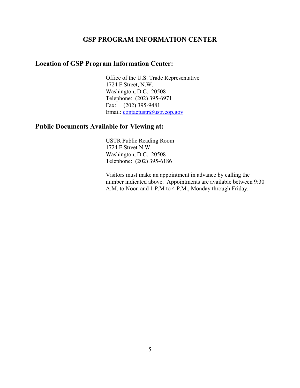## **GSP PROGRAM INFORMATION CENTER**

# **Location of GSP Program Information Center:**

 Office of the U.S. Trade Representative 1724 F Street, N.W. Washington, D.C. 20508 Telephone: (202) 395-6971 Fax: (202) 395-9481 Email: contactustr@ustr.eop.gov

# **Public Documents Available for Viewing at:**

 USTR Public Reading Room 1724 F Street N.W. Washington, D.C. 20508 Telephone: (202) 395-6186

Visitors must make an appointment in advance by calling the number indicated above. Appointments are available between 9:30 A.M. to Noon and 1 P.M to 4 P.M., Monday through Friday.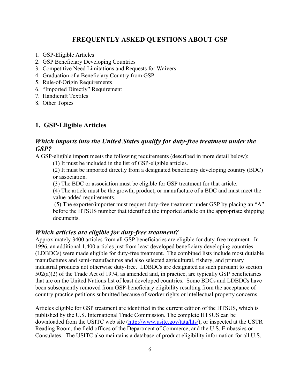## **FREQUENTLY ASKED QUESTIONS ABOUT GSP**

- 1. GSP-Eligible Articles
- 2. GSP Beneficiary Developing Countries
- 3. Competitive Need Limitations and Requests for Waivers
- 4. Graduation of a Beneficiary Country from GSP
- 5. Rule-of-Origin Requirements
- 6. "Imported Directly" Requirement
- 7. Handicraft Textiles
- 8. Other Topics

## **1. GSP-Eligible Articles**

# *Which imports into the United States qualify for duty-free treatment under the GSP?*

A GSP-eligible import meets the following requirements (described in more detail below):

(1) It must be included in the list of GSP-eligible articles.

(2) It must be imported directly from a designated beneficiary developing country (BDC) or association.

(3) The BDC or association must be eligible for GSP treatment for that article.

(4) The article must be the growth, product, or manufacture of a BDC and must meet the value-added requirements.

 (5) The exporter/importer must request duty-free treatment under GSP by placing an "A" before the HTSUS number that identified the imported article on the appropriate shipping documents.

## *Which articles are eligible for duty-free treatment?*

Approximately 3400 articles from all GSP beneficiaries are eligible for duty-free treatment. In 1996, an additional 1,400 articles just from least developed beneficiary developing countries (LDBDCs) were made eligible for duty-free treatment. The combined lists include most dutiable manufactures and semi-manufactures and also selected agricultural, fishery, and primary industrial products not otherwise duty-free. LDBDCs are designated as such pursuant to section 502(a)(2) of the Trade Act of 1974, as amended and, in practice, are typically GSP beneficiaries that are on the United Nations list of least developed countries. Some BDCs and LDBDCs have been subsequently removed from GSP-beneficiary eligibility resulting from the acceptance of country practice petitions submitted because of worker rights or intellectual property concerns.

Articles eligible for GSP treatment are identified in the current edition of the HTSUS, which is published by the U.S. International Trade Commission. The complete HTSUS can be downloaded from the USITC web site ([http://www.usitc.gov/tata/hts](http://www.usitc.gov/tata/hts/)/), or inspected at the USTR Reading Room, the field offices of the Department of Commerce, and the U.S. Embassies or Consulates. The USITC also maintains a database of product eligibility information for all U.S.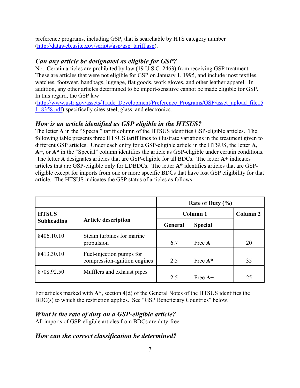preference programs, including GSP, that is searchable by HTS category number ([http://dataweb.usitc.gov/scripts/gsp/gsp\\_tariff.asp](http://dataweb.usitc.gov/scripts/gsp/gsp_tariff.asp)).

## *Can any article be designated as eligible for GSP?*

No. Certain articles are prohibited by law (19 U.S.C. 2463) from receiving GSP treatment. These are articles that were not eligible for GSP on January 1, 1995, and include most textiles, watches, footwear, handbags, luggage, flat goods, work gloves, and other leather apparel. In addition, any other articles determined to be import-sensitive cannot be made eligible for GSP. In this regard, the GSP law

([http://www.ustr.gov/assets/Trade\\_Development/Preference\\_Programs/GSP/asset\\_upload\\_file15](http://www.ustr.gov/assets/Trade_Development/Preference_Programs/GSP/asset_upload_file15) 1\_8358.pdf) specifically cites steel, glass, and electronics.

## *How is an article identified as GSP eligible in the HTSUS?*

The letter **A** in the "Special" tariff column of the HTSUS identifies GSP-eligible articles. The following table presents three HTSUS tariff lines to illustrate variations in the treatment given to different GSP articles. Under each entry for a GSP-eligible article in the HTSUS, the letter **A**, **A+**, or **A\*** in the "Special" column identifies the article as GSP-eligible under certain conditions. The letter **A** designates articles that are GSP-eligible for all BDCs. The letter **A+** indicates articles that are GSP-eligible only for LDBDCs. The letter **A\*** identifies articles that are GSPeligible except for imports from one or more specific BDCs that have lost GSP eligibility for that article. The HTSUS indicates the GSP status of articles as follows:

|                   |                                                          | Rate of Duty $(\% )$ |                |    |
|-------------------|----------------------------------------------------------|----------------------|----------------|----|
| <b>HTSUS</b>      |                                                          |                      | Column 1       |    |
| <b>Subheading</b> | <b>Article description</b>                               | General              | <b>Special</b> |    |
| 8406.10.10        | Steam turbines for marine<br>propulsion                  | 6.7                  | Free A         | 20 |
| 8413.30.10        | Fuel-injection pumps for<br>compression-ignition engines | 2.5                  | Free $A^*$     | 35 |
| 8708.92.50        | Mufflers and exhaust pipes                               | 2.5                  | Free $A+$      | 25 |

For articles marked with **A\***, section 4(d) of the General Notes of the HTSUS identifies the BDC(s) to which the restriction applies. See "GSP Beneficiary Countries" below.

## *What is the rate of duty on a GSP-eligible article?*

All imports of GSP-eligible articles from BDCs are duty-free.

## *How can the correct classification be determined?*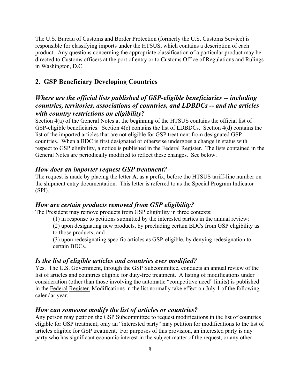The U.S. Bureau of Customs and Border Protection (formerly the U.S. Customs Service) is responsible for classifying imports under the HTSUS, which contains a description of each product. Any questions concerning the appropriate classification of a particular product may be directed to Customs officers at the port of entry or to Customs Office of Regulations and Rulings in Washington, D.C.

# **2. GSP Beneficiary Developing Countries**

# *Where are the official lists published of GSP-eligible beneficiaries -- including countries, territories, associations of countries, and LDBDCs -- and the articles with country restrictions on eligibility?*

Section 4(a) of the General Notes at the beginning of the HTSUS contains the official list of GSP-eligible beneficiaries. Section 4(c) contains the list of LDBDCs. Section 4(d) contains the list of the imported articles that are not eligible for GSP treatment from designated GSP countries. When a BDC is first designated or otherwise undergoes a change in status with respect to GSP eligibility, a notice is published in the Federal Register. The lists contained in the General Notes are periodically modified to reflect these changes. See below.

## *How does an importer request GSP treatment?*

The request is made by placing the letter **A**, as a prefix, before the HTSUS tariff-line number on the shipment entry documentation. This letter is referred to as the Special Program Indicator (SPI).

## *How are certain products removed from GSP eligibility?*

The President may remove products from GSP eligibility in three contexts:

(1) in response to petitions submitted by the interested parties in the annual review;

(2) upon designating new products, by precluding certain BDCs from GSP eligibility as to those products; and

(3) upon redesignating specific articles as GSP-eligible, by denying redesignation to certain BDCs.

#### *Is the list of eligible articles and countries ever modified?*

Yes. The U.S. Government, through the GSP Subcommittee, conducts an annual review of the list of articles and countries eligible for duty-free treatment. A listing of modifications under consideration (other than those involving the automatic "competitive need" limits) is published in the Federal Register. Modifications in the list normally take effect on July 1 of the following calendar year.

#### *How can someone modify the list of articles or countries?*

Any person may petition the GSP Subcommittee to request modifications in the list of countries eligible for GSP treatment; only an "interested party" may petition for modifications to the list of articles eligible for GSP treatment. For purposes of this provision, an interested party is any party who has significant economic interest in the subject matter of the request, or any other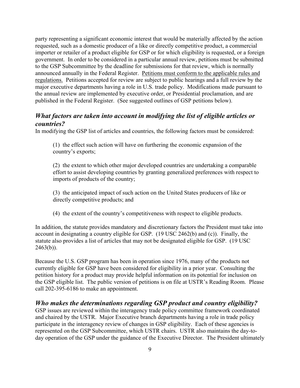party representing a significant economic interest that would be materially affected by the action requested, such as a domestic producer of a like or directly competitive product, a commercial importer or retailer of a product eligible for GSP or for which eligibility is requested, or a foreign government. In order to be considered in a particular annual review, petitions must be submitted to the GSP Subcommittee by the deadline for submissions for that review, which is normally announced annually in the Federal Register. Petitions must conform to the applicable rules and regulations. Petitions accepted for review are subject to public hearings and a full review by the major executive departments having a role in U.S. trade policy. Modifications made pursuant to the annual review are implemented by executive order, or Presidential proclamation, and are published in the Federal Register. (See suggested outlines of GSP petitions below).

# *What factors are taken into account in modifying the list of eligible articles or countries?*

In modifying the GSP list of articles and countries, the following factors must be considered:

(1) the effect such action will have on furthering the economic expansion of the country's exports;

(2) the extent to which other major developed countries are undertaking a comparable effort to assist developing countries by granting generalized preferences with respect to imports of products of the country;

(3) the anticipated impact of such action on the United States producers of like or directly competitive products; and

(4) the extent of the country's competitiveness with respect to eligible products.

In addition, the statute provides mandatory and discretionary factors the President must take into account in designating a country eligible for GSP. (19 USC 2462(b) and (c)). Finally, the statute also provides a list of articles that may not be designated eligible for GSP. (19 USC  $2463(b)$ ).

Because the U.S. GSP program has been in operation since 1976, many of the products not currently eligible for GSP have been considered for eligibility in a prior year. Consulting the petition history for a product may provide helpful information on its potential for inclusion on the GSP eligible list. The public version of petitions is on file at USTR's Reading Room. Please call 202-395-6186 to make an appointment.

## *Who makes the determinations regarding GSP product and country eligibility?*

GSP issues are reviewed within the interagency trade policy committee framework coordinated and chaired by the USTR. Major Executive branch departments having a role in trade policy participate in the interagency review of changes in GSP eligibility. Each of these agencies is represented on the GSP Subcommittee, which USTR chairs. USTR also maintains the day-today operation of the GSP under the guidance of the Executive Director. The President ultimately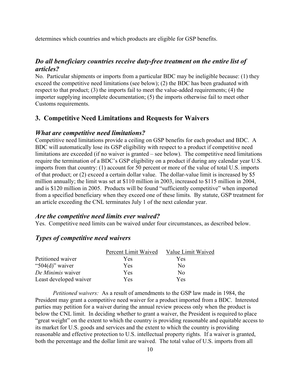determines which countries and which products are eligible for GSP benefits.

## *Do all beneficiary countries receive duty-free treatment on the entire list of articles?*

No. Particular shipments or imports from a particular BDC may be ineligible because: (1) they exceed the competitive need limitations (see below); (2) the BDC has been graduated with respect to that product; (3) the imports fail to meet the value-added requirements; (4) the importer supplying incomplete documentation; (5) the imports otherwise fail to meet other Customs requirements.

## **3. Competitive Need Limitations and Requests for Waivers**

#### *What are competitive need limitations?*

Competitive need limitations provide a ceiling on GSP benefits for each product and BDC. A BDC will automatically lose its GSP eligibility with respect to a product if competitive need limitations are exceeded (if no waiver is granted – see below). The competitive need limitations require the termination of a BDC's GSP eligibility on a product if during any calendar year U.S. imports from that country: (1) account for 50 percent or more of the value of total U.S. imports of that product; or (2) exceed a certain dollar value. The dollar-value limit is increased by \$5 million annually; the limit was set at \$110 million in 2003, increased to \$115 million in 2004, and is \$120 million in 2005. Products will be found "sufficiently competitive" when imported from a specified beneficiary when they exceed one of these limits. By statute, GSP treatment for an article exceeding the CNL terminates July 1 of the next calendar year.

## *Are the competitive need limits ever waived?*

Yes. Competitive need limits can be waived under four circumstances, as described below.

## *Types of competitive need waivers*

|                        | Percent Limit Waived | Value Limit Waived |
|------------------------|----------------------|--------------------|
| Petitioned waiver      | Yes                  | Yes                |
| " $504(d)$ " waiver    | Yes                  | No                 |
| De Minimis waiver      | Yes                  | No                 |
| Least developed waiver | Yes                  | Yes                |

*Petitioned waivers:*As a result of amendments to the GSP law made in 1984, the President may grant a competitive need waiver for a product imported from a BDC. Interested parties may petition for a waiver during the annual review process only when the product is below the CNL limit. In deciding whether to grant a waiver, the President is required to place "great weight" on the extent to which the country is providing reasonable and equitable access to its market for U.S. goods and services and the extent to which the country is providing reasonable and effective protection to U.S. intellectual property rights. If a waiver is granted, both the percentage and the dollar limit are waived. The total value of U.S. imports from all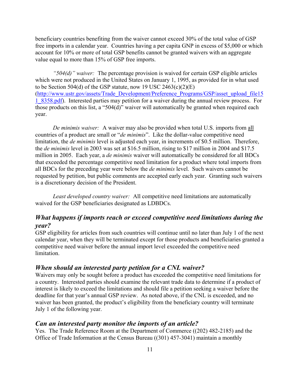beneficiary countries benefiting from the waiver cannot exceed 30% of the total value of GSP free imports in a calendar year. Countries having a per capita GNP in excess of \$5,000 or which account for 10% or more of total GSP benefits cannot be granted waivers with an aggregate value equal to more than 15% of GSP free imports.

*"504(d)" waiver:* The percentage provision is waived for certain GSP eligible articles which were not produced in the United States on January 1, 1995, as provided for in what used to be Section 504(d) of the GSP statute, now 19 USC  $2463(c)(2)(E)$ ([http://www.ustr.gov/assets/Trade\\_Development/Preference\\_Programs/GSP/asset\\_upload\\_file15](http://www.ustr.gov/assets/Trade_Development/Preference_Programs/GSP/asset_upload_file15) 1\_8358.pdf). Interested parties may petition for a waiver during the annual review process. For those products on this list, a "504(d)" waiver will automatically be granted when required each year.

*De minimis waiver:* A waiver may also be provided when total U.S. imports from all countries of a product are small or "*de minimis*". Like the dollar-value competitive need limitation, the *de minimis* level is adjusted each year, in increments of \$0.5 million. Therefore, the *de minimis* level in 2003 was set at \$16.5 million, rising to \$17 million in 2004 and \$17.5 million in 2005. Each year, a *de minimis* waiver will automatically be considered for all BDCs that exceeded the percentage competitive need limitation for a product where total imports from all BDCs for the preceding year were below the *de minimis* level. Such waivers cannot be requested by petition, but public comments are accepted early each year. Granting such waivers is a discretionary decision of the President.

*Least developed country waiver:* All competitive need limitations are automatically waived for the GSP beneficiaries designated as LDBDCs.

## *What happens if imports reach or exceed competitive need limitations during the year?*

GSP eligibility for articles from such countries will continue until no later than July 1 of the next calendar year, when they will be terminated except for those products and beneficiaries granted a competitive need waiver before the annual import level exceeded the competitive need limitation.

## *When should an interested party petition for a CNL waiver?*

Waivers may only be sought before a product has exceeded the competitive need limitations for a country. Interested parties should examine the relevant trade data to determine if a product of interest is likely to exceed the limitations and should file a petition seeking a waiver before the deadline for that year's annual GSP review. As noted above, if the CNL is exceeded, and no waiver has been granted, the product's eligibility from the beneficiary country will terminate July 1 of the following year.

#### *Can an interested party monitor the imports of an article?*

Yes. The Trade Reference Room at the Department of Commerce ((202) 482-2185) and the Office of Trade Information at the Census Bureau ((301) 457-3041) maintain a monthly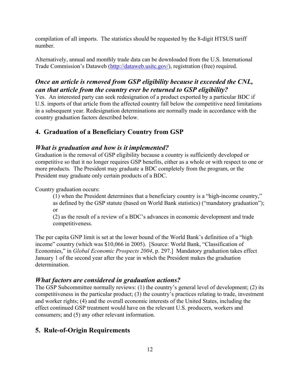compilation of all imports. The statistics should be requested by the 8-digit HTSUS tariff number.

Alternatively, annual and monthly trade data can be downloaded from the U.S. International Trade Commission's Dataweb ([http://dataweb.usitc.gov](http://dataweb.usitc.gov/)/), registration (free) required.

# *Once an article is removed from GSP eligibility because it exceeded the CNL, can that article from the country ever be returned to GSP eligibility?*

Yes. An interested party can seek redesignation of a product exported by a particular BDC if U.S. imports of that article from the affected country fall below the competitive need limitations in a subsequent year. Redesignation determinations are normally made in accordance with the country graduation factors described below.

# **4. Graduation of a Beneficiary Country from GSP**

# *What is graduation and how is it implemented?*

Graduation is the removal of GSP eligibility because a country is sufficiently developed or competitive so that it no longer requires GSP benefits, either as a whole or with respect to one or more products. The President may graduate a BDC completely from the program, or the President may graduate only certain products of a BDC.

Country graduation occurs:

(1) when the President determines that a beneficiary country is a "high-income country," as defined by the GSP statute (based on World Bank statistics) ("mandatory graduation"); or

(2) as the result of a review of a BDC's advances in economic development and trade competitiveness.

The per capita GNP limit is set at the lower bound of the World Bank's definition of a "high income" country (which was \$10,066 in 2005). [Source: World Bank, "Classification of Economies," in *Global Economic Prospects 2004*, p. 297.] Mandatory graduation takes effect January 1 of the second year after the year in which the President makes the graduation determination.

# *What factors are considered in graduation actions?*

The GSP Subcommittee normally reviews: (1) the country's general level of development; (2) its competitiveness in the particular product; (3) the country's practices relating to trade, investment and worker rights; (4) and the overall economic interests of the United States, including the effect continued GSP treatment would have on the relevant U.S. producers, workers and consumers; and (5) any other relevant information.

# **5. Rule-of-Origin Requirements**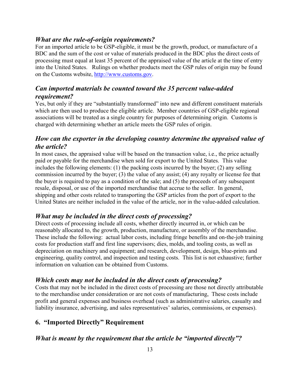## *What are the rule-of-origin requirements?*

For an imported article to be GSP-eligible, it must be the growth, product, or manufacture of a BDC and the sum of the cost or value of materials produced in the BDC plus the direct costs of processing must equal at least 35 percent of the appraised value of the article at the time of entry into the United States. Rulings on whether products meet the GSP rules of origin may be found on the Customs website, [http://www.customs.gov.](http://www.customs.gov)

# *Can imported materials be counted toward the 35 percent value-added requirement?*

Yes, but only if they are "substantially transformed" into new and different constituent materials which are then used to produce the eligible article. Member countries of GSP-eligible regional associations will be treated as a single country for purposes of determining origin. Customs is charged with determining whether an article meets the GSP rules of origin.

# *How can the exporter in the developing country determine the appraised value of the article?*

In most cases, the appraised value will be based on the transaction value, i.e., the price actually paid or payable for the merchandise when sold for export to the United States. This value includes the following elements: (1) the packing costs incurred by the buyer; (2) any selling commission incurred by the buyer; (3) the value of any assist; (4) any royalty or license fee that the buyer is required to pay as a condition of the sale; and (5) the proceeds of any subsequent resale, disposal, or use of the imported merchandise that accrue to the seller. In general, shipping and other costs related to transporting the GSP articles from the port of export to the United States are neither included in the value of the article, nor in the value-added calculation.

# *What may be included in the direct costs of processing?*

Direct costs of processing include all costs, whether directly incurred in, or which can be reasonably allocated to, the growth, production, manufacture, or assembly of the merchandise. These include the following: actual labor costs, including fringe benefits and on-the-job training costs for production staff and first line supervisors; dies, molds, and tooling costs, as well as depreciation on machinery and equipment; and research, development, design, blue-prints and engineering, quality control, and inspection and testing costs. This list is not exhaustive; further information on valuation can be obtained from Customs.

# *Which costs may not be included in the direct costs of processing?*

Costs that may not be included in the direct costs of processing are those not directly attributable to the merchandise under consideration or are not costs of manufacturing, These costs include profit and general expenses and business overhead (such as administrative salaries, casualty and liability insurance, advertising, and sales representatives' salaries, commissions, or expenses).

# **6. "Imported Directly" Requirement**

## *What is meant by the requirement that the article be "imported directly"?*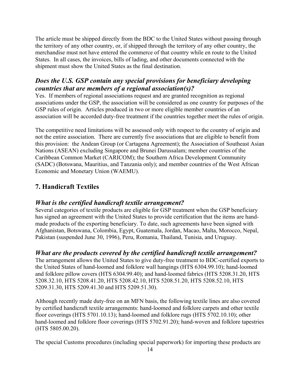The article must be shipped directly from the BDC to the United States without passing through the territory of any other country, or, if shipped through the territory of any other country, the merchandise must not have entered the commerce of that country while en route to the United States. In all cases, the invoices, bills of lading, and other documents connected with the shipment must show the United States as the final destination.

# *Does the U.S. GSP contain any special provisions for beneficiary developing countries that are members of a regional association(s)?*

Yes. If members of regional associations request and are granted recognition as regional associations under the GSP, the association will be considered as one country for purposes of the GSP rules of origin. Articles produced in two or more eligible member countries of an association will be accorded duty-free treatment if the countries together meet the rules of origin.

The competitive need limitations will be assessed only with respect to the country of origin and not the entire association. There are currently five associations that are eligible to benefit from this provision: the Andean Group (or Cartagena Agreement); the Association of Southeast Asian Nations (ASEAN) excluding Singapore and Brunei Darussalam; member countries of the Caribbean Common Market (CARICOM); the Southern Africa Development Community (SADC) (Botswana, Mauritius, and Tanzania only); and member countries of the West African Economic and Monetary Union (WAEMU).

# **7. Handicraft Textiles**

# *What is the certified handicraft textile arrangement?*

Several categories of textile products are eligible for GSP treatment when the GSP beneficiary has signed an agreement with the United States to provide certification that the items are handmade products of the exporting beneficiary. To date, such agreements have been signed with Afghanistan, Botswana, Colombia, Egypt, Guatemala, Jordan, Macao, Malta, Morocco, Nepal, Pakistan (suspended June 30, 1996), Peru, Romania, Thailand, Tunisia, and Uruguay.

# *What are the products covered by the certified handicraft textile arrangement?*

The arrangement allows the United States to give duty-free treatment to BDC-certified exports to the United States of hand-loomed and folklore wall hangings (HTS 6304.99.10); hand-loomed and folklore pillow covers (HTS 6304.99.40); and hand-loomed fabrics (HTS 5208.31.20, HTS 5208.32.10, HTS 5208.41.20, HTS 5208.42.10, HTS 5208.51.20, HTS 5208.52.10, HTS 5209.31.30, HTS 5209.41.30 and HTS 5209.51.30).

Although recently made duty-free on an MFN basis, the following textile lines are also covered by certified handicraft textile arrangements: hand-loomed and folklore carpets and other textile floor coverings (HTS 5701.10.13); hand-loomed and folklore rugs (HTS 5702.10.10); other hand-loomed and folklore floor coverings (HTS 5702.91.20); hand-woven and folklore tapestries (HTS 5805.00.20).

The special Customs procedures (including special paperwork) for importing these products are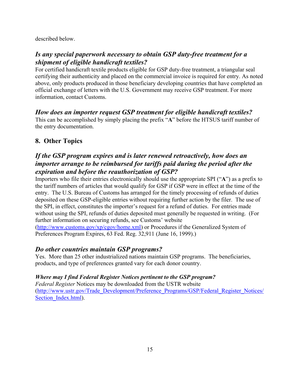described below.

# *Is any special paperwork necessary to obtain GSP duty-free treatment for a shipment of eligible handicraft textiles?*

For certified handicraft textile products eligible for GSP duty-free treatment, a triangular seal certifying their authenticity and placed on the commercial invoice is required for entry. As noted above, only products produced in those beneficiary developing countries that have completed an official exchange of letters with the U.S. Government may receive GSP treatment. For more information, contact Customs.

# *How does an importer request GSP treatment for eligible handicraft textiles?*

This can be accomplished by simply placing the prefix "**A**" before the HTSUS tariff number of the entry documentation.

# **8. Other Topics**

# *If the GSP program expires and is later renewed retroactively, how does an importer arrange to be reimbursed for tariffs paid during the period after the expiration and before the reauthorization of GSP?*

Importers who file their entries electronically should use the appropriate SPI ("**A**") as a prefix to the tariff numbers of articles that would qualify for GSP if GSP were in effect at the time of the entry. The U.S. Bureau of Customs has arranged for the timely processing of refunds of duties deposited on these GSP-eligible entries without requiring further action by the filer. The use of the SPI, in effect, constitutes the importer's request for a refund of duties. For entries made without using the SPI, refunds of duties deposited must generally be requested in writing. (For further information on securing refunds, see Customs' website ([http://www.customs.gov/xp/cgov/home.xml\)](http://www.customs.gov/xp/cgov/home.xml) or Procedures if the Generalized System of Preferences Program Expires, 63 Fed. Reg. 32,911 (June 16, 1999).)

# *Do other countries maintain GSP programs?*

Yes. More than 25 other industrialized nations maintain GSP programs. The beneficiaries, products, and type of preferences granted vary for each donor country.

# *Where may I find Federal Register Notices pertinent to the GSP program?*

*Federal Register* Notices may be downloaded from the USTR website ([http://www.ustr.gov/Trade\\_Development/Preference\\_Programs/GSP/Federal\\_Register\\_Notices/](http://www.ustr.gov/Trade_Development/Preference_Programs/GSP/Federal_Register_Notices/) Section <u>Index.html</u>).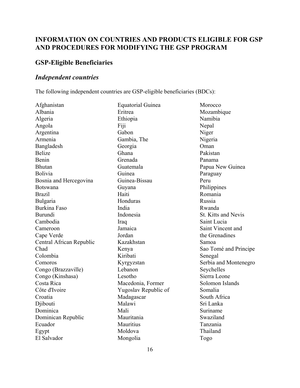# **INFORMATION ON COUNTRIES AND PRODUCTS ELIGIBLE FOR GSP AND PROCEDURES FOR MODIFYING THE GSP PROGRAM**

# **GSP-Eligible Beneficiaries**

# *Independent countries*

The following independent countries are GSP-eligible beneficiaries (BDCs):

| Afghanistan              | <b>Equatorial Guinea</b> | Morocco               |
|--------------------------|--------------------------|-----------------------|
| Albania                  | Eritrea                  | Mozambique            |
| Algeria                  | Ethiopia                 | Namibia               |
| Angola                   | Fiji                     | Nepal                 |
| Argentina                | Gabon                    | Niger                 |
| Armenia                  | Gambia, The              | Nigeria               |
| Bangladesh               | Georgia                  | Oman                  |
| <b>Belize</b>            | Ghana                    | Pakistan              |
| Benin                    | Grenada                  | Panama                |
| <b>Bhutan</b>            | Guatemala                | Papua New Guinea      |
| <b>Bolivia</b>           | Guinea                   | Paraguay              |
| Bosnia and Hercegovina   | Guinea-Bissau            | Peru                  |
| <b>Botswana</b>          | Guyana                   | Philippines           |
| <b>Brazil</b>            | Haiti                    | Romania               |
| Bulgaria                 | Honduras                 | Russia                |
| <b>Burkina Faso</b>      | India                    | Rwanda                |
| <b>Burundi</b>           | Indonesia                | St. Kitts and Nevis   |
| Cambodia                 | Iraq                     | Saint Lucia           |
| Cameroon                 | Jamaica                  | Saint Vincent and     |
| Cape Verde               | Jordan                   | the Grenadines        |
| Central African Republic | Kazakhstan               | Samoa                 |
| Chad                     | Kenya                    | Sao Tomé and Principe |
| Colombia                 | Kiribati                 | Senegal               |
| Comoros                  | Kyrgyzstan               | Serbia and Montenegro |
| Congo (Brazzaville)      | Lebanon                  | Seychelles            |
| Congo (Kinshasa)         | Lesotho                  | Sierra Leone          |
| Costa Rica               | Macedonia, Former        | Solomon Islands       |
| Côte d'Ivoire            | Yugoslav Republic of     | Somalia               |
| Croatia                  | Madagascar               | South Africa          |
| Djibouti                 | Malawi                   | Sri Lanka             |
| Dominica                 | Mali                     | Suriname              |
| Dominican Republic       | Mauritania               | Swaziland             |
| Ecuador                  | Mauritius                | Tanzania              |
| Egypt                    | Moldova                  | Thailand              |
| El Salvador              | Mongolia                 | Togo                  |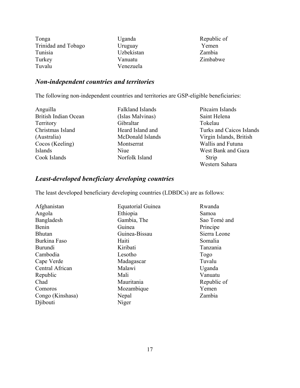| Tonga               |
|---------------------|
| Trinidad and Tobago |
| Tunisia             |
| Turkey              |
| Tuvalu              |

Uganda Uruguay Uzbekistan Vanuatu Venezuela

Republic of Yemen Zambia Zimbabwe

# *Non-independent countries and territories*

The following non-independent countries and territories are GSP-eligible beneficiaries:

Anguilla British Indian Ocean Territory Christmas Island (Australia) Cocos (Keeling) Islands Cook Islands

Falkland Islands (Islas Malvinas) Gibraltar Heard Island and McDonald Islands Montserrat Niue Norfolk Island

Pitcairn Islands Saint Helena Tokelau Turks and Caicos Islands Virgin Islands, British Wallis and Futuna West Bank and Gaza Strip Western Sahara

# *Least-developed beneficiary developing countries*

The least developed beneficiary developing countries (LDBDCs) are as follows:

| Afghanistan      | <b>Equatorial Guinea</b> | Rwanda       |
|------------------|--------------------------|--------------|
| Angola           | Ethiopia                 | Samoa        |
| Bangladesh       | Gambia, The              | Sao Tomé and |
| Benin            | Guinea                   | Principe     |
| <b>Bhutan</b>    | Guinea-Bissau            | Sierra Leone |
| Burkina Faso     | Haiti                    | Somalia      |
| <b>Burundi</b>   | Kiribati                 | Tanzania     |
| Cambodia         | Lesotho                  | Togo         |
| Cape Verde       | Madagascar               | Tuvalu       |
| Central African  | Malawi                   | Uganda       |
| Republic         | Mali                     | Vanuatu      |
| Chad             | Mauritania               | Republic of  |
| Comoros          | Mozambique               | Yemen        |
| Congo (Kinshasa) | Nepal                    | Zambia       |
| Djibouti         | Niger                    |              |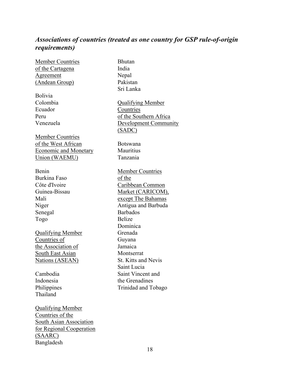# *Associations of countries (treated as one country for GSP rule-of-origin requirements)*

| <b>Member Countries</b>        | <b>Bhutan</b>                |
|--------------------------------|------------------------------|
| <u>of the Cartagena</u>        | India                        |
| <u>Agreement</u>               | Nepal                        |
| (Andean Group)                 | Pakistan                     |
|                                | Sri Lanka                    |
| Bolivia                        |                              |
| Colombia                       | <b>Qualifying Member</b>     |
| Ecuador                        | Countries                    |
| Peru                           | of the Southern Africa       |
| Venezuela                      | <b>Development Community</b> |
|                                | (SADC)                       |
| <b>Member Countries</b>        |                              |
| of the West African            | <b>Botswana</b>              |
| <b>Economic and Monetary</b>   | Mauritius                    |
| <b>Union (WAEMU)</b>           | Tanzania                     |
|                                |                              |
| Benin                          | <b>Member Countries</b>      |
| <b>Burkina Faso</b>            | of the                       |
| Côte d'Ivoire                  | Caribbean Common             |
| Guinea-Bissau                  | Market (CARICOM),            |
| Mali                           | except The Bahamas           |
| Niger                          | Antigua and Barbuda          |
| Senegal                        | <b>Barbados</b>              |
| Togo                           | <b>Belize</b>                |
|                                | Dominica                     |
| <b>Qualifying Member</b>       | Grenada                      |
| Countries of                   | Guyana                       |
| the Association of             | Jamaica                      |
| <b>South East Asian</b>        | Montserrat                   |
| <b>Nations (ASEAN)</b>         | <b>St. Kitts and Nevis</b>   |
|                                | Saint Lucia                  |
| Cambodia                       | Saint Vincent and            |
| Indonesia                      | the Grenadines               |
| Philippines                    | Trinidad and Tobago          |
| Thailand                       |                              |
|                                |                              |
| <b>Qualifying Member</b>       |                              |
| Countries of the               |                              |
| <b>South Asian Association</b> |                              |
| for Regional Cooperation       |                              |
| (SAARC)                        |                              |
| Bangladesh                     |                              |
|                                |                              |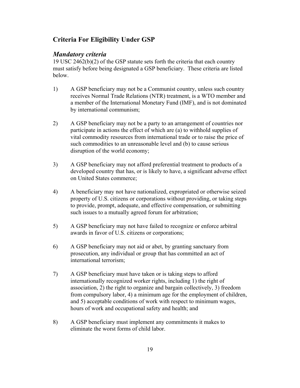# **Criteria For Eligibility Under GSP**

## *Mandatory criteria*

19 USC 2462(b)(2) of the GSP statute sets forth the criteria that each country must satisfy before being designated a GSP beneficiary. These criteria are listed below.

- 1) A GSP beneficiary may not be a Communist country, unless such country receives Normal Trade Relations (NTR) treatment, is a WTO member and a member of the International Monetary Fund (IMF), and is not dominated by international communism;
- 2) A GSP beneficiary may not be a party to an arrangement of countries nor participate in actions the effect of which are (a) to withhold supplies of vital commodity resources from international trade or to raise the price of such commodities to an unreasonable level and (b) to cause serious disruption of the world economy;
- 3) A GSP beneficiary may not afford preferential treatment to products of a developed country that has, or is likely to have, a significant adverse effect on United States commerce;
- 4) A beneficiary may not have nationalized, expropriated or otherwise seized property of U.S. citizens or corporations without providing, or taking steps to provide, prompt, adequate, and effective compensation, or submitting such issues to a mutually agreed forum for arbitration;
- 5) A GSP beneficiary may not have failed to recognize or enforce arbitral awards in favor of U.S. citizens or corporations;
- 6) A GSP beneficiary may not aid or abet, by granting sanctuary from prosecution, any individual or group that has committed an act of international terrorism;
- 7) A GSP beneficiary must have taken or is taking steps to afford internationally recognized worker rights, including 1) the right of association, 2) the right to organize and bargain collectively, 3) freedom from compulsory labor, 4) a minimum age for the employment of children, and 5) acceptable conditions of work with respect to minimum wages, hours of work and occupational safety and health; and
- 8) A GSP beneficiary must implement any commitments it makes to eliminate the worst forms of child labor.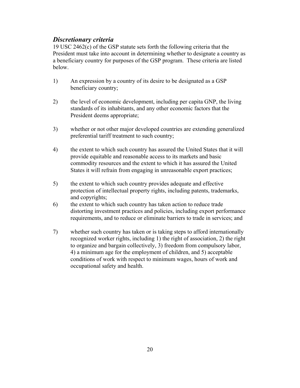# *Discretionary criteria*

19 USC 2462(c) of the GSP statute sets forth the following criteria that the President must take into account in determining whether to designate a country as a beneficiary country for purposes of the GSP program. These criteria are listed below.

- 1) An expression by a country of its desire to be designated as a GSP beneficiary country;
- 2) the level of economic development, including per capita GNP, the living standards of its inhabitants, and any other economic factors that the President deems appropriate;
- 3) whether or not other major developed countries are extending generalized preferential tariff treatment to such country;
- 4) the extent to which such country has assured the United States that it will provide equitable and reasonable access to its markets and basic commodity resources and the extent to which it has assured the United States it will refrain from engaging in unreasonable export practices;
- 5) the extent to which such country provides adequate and effective protection of intellectual property rights, including patents, trademarks, and copyrights;
- 6) the extent to which such country has taken action to reduce trade distorting investment practices and policies, including export performance requirements, and to reduce or eliminate barriers to trade in services; and
- 7) whether such country has taken or is taking steps to afford internationally recognized worker rights, including 1) the right of association, 2) the right to organize and bargain collectively, 3) freedom from compulsory labor, 4) a minimum age for the employment of children, and 5) acceptable conditions of work with respect to minimum wages, hours of work and occupational safety and health.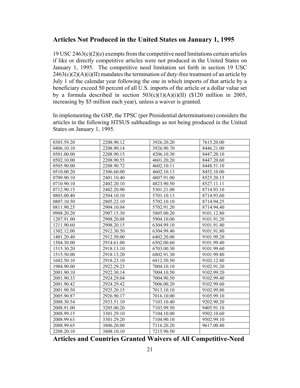## **Articles Not Produced in the United States on January 1, 1995**

19 USC 2463(c)(2)(e) exempts from the competitive need limitations certain articles if like or directly competitive articles were not produced in the United States on January 1, 1995. The competitive need limitation set forth in section 19 USC  $2463(c)(2)(A)(i)(II)$  mandates the termination of duty-free treatment of an article by July 1 of the calendar year following the one in which imports of that article by a beneficiary exceed 50 percent of all U.S. imports of the article or a dollar value set by a formula described in section  $503(c)(1)(A)(i)(II)$  (\$120 million in 2005, increasing by \$5 million each year), unless a waiver is granted.

In implementing the GSP, the TPSC (per Presidential determinations) considers the articles in the following HTSUS subheadings as not being produced in the United States on January 1, 1995.

| 0305.59.20 | 2208.90.12 | 3926.20.20 | 7615.20.00 |
|------------|------------|------------|------------|
| 0406.10.10 | 2208.90.14 | 3926.90.70 | 8446.21.00 |
| 0501.00.00 | 2208.90.15 | 4206.10.30 | 8447.20.10 |
| 0502.10.00 | 2208.90.55 | 4601.20.20 | 8447.20.60 |
| 0505.90.00 | 2208.90.72 | 4602.10.11 | 8448.51.10 |
| 0510.00.20 | 2306.60.00 | 4602.10.13 | 8452.10.00 |
| 0709.90.10 | 2401.10.40 | 4807.91.00 | 8525.20.15 |
| 0710.90.10 | 2402.20.10 | 4823.90.50 | 8527.11.11 |
| 0712.90.15 | 2402.20.90 | 5301.21.00 | 8714.93.10 |
| 0803.00.40 | 2504.10.10 | 5701.10.13 | 8714.93.60 |
| 0807.10.50 | 2805.22.10 | 5702.10.10 | 8714.94.25 |
| 0811.90.25 | 2904.10.04 | 5702.91.20 | 8714.94.40 |
| 0908.20.20 | 2907.15.30 | 5805.00.20 | 9101.12.80 |
| 1207.91.00 | 2908.20.08 | 5904.10.00 | 9101.91.20 |
| 1211.90.60 | 2908.20.15 | 6304.99.10 | 9101.91.40 |
| 1302.12.00 | 2912.30.50 | 6304.99.40 | 9101.91.80 |
| 1401.20.40 | 2912.50.00 | 6402.20.00 | 9101.99.20 |
| 1504.30.00 | 2914.61.00 | 6502.00.60 | 9101.99.40 |
| 1515.30.20 | 2918.13.10 | 6703.00.30 | 9101.99.60 |
| 1515.50.00 | 2918.13.20 | 6802.91.30 | 9101.99.80 |
| 1602.50.10 | 2918.23.10 | 6812.50.50 | 9102.12.80 |
| 1904.90.00 | 2922.29.23 | 7004.10.10 | 9102.91.20 |
| 2001.90.10 | 2922.30.14 | 7004.10.50 | 9102.99.20 |
| 2001.90.33 | 2924.29.04 | 7004.90.50 | 9102.99.40 |
| 2001.90.42 | 2924.29.42 | 7006.00.20 | 9102.99.60 |
| 2001.90.50 | 2925.20.15 | 7013.10.10 | 9102.99.80 |
| 2005.90.87 | 2926.90.17 | 7016.10.00 | 9105.99.10 |
| 2008.30.54 | 2933.51.10 | 7103.10.40 | 9202.90.20 |
| 2008.91.00 | 3205.00.20 | 7103.99.50 | 9405.91.10 |
| 2008.99.15 | 3301.29.10 | 7104.10.00 | 9502.10.60 |
| 2008.99.63 | 3301.29.20 | 7104.90.10 | 9502.99.10 |
| 2008.99.65 | 3806.20.00 | 7116.20.20 | 9617.00.40 |
| 2208.20.10 | 3808.10.10 | 7215.90.50 |            |

**Articles and Countries Granted Waivers of All Competitive-Need**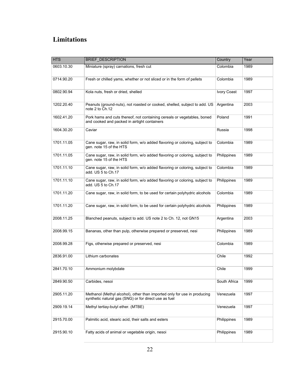# **Limitations**

| <b>HTS</b> | <b>BRIEF_DESCRIPTION</b>                                                                                                          | Country            | Year |
|------------|-----------------------------------------------------------------------------------------------------------------------------------|--------------------|------|
| 0603.10.30 | Miniature (spray) carnations, fresh cut                                                                                           | Colombia           | 1989 |
| 0714.90.20 | Fresh or chilled yams, whether or not sliced or in the form of pellets                                                            | Colombia           | 1989 |
| 0802.90.94 | Kola nuts, fresh or dried, shelled                                                                                                | <b>Ivory Coast</b> | 1997 |
| 1202.20.40 | Peanuts (ground-nuts), not roasted or cooked, shelled, subject to add. US<br>note 2 to Ch.12                                      | Argentina          | 2003 |
| 1602.41.20 | Pork hams and cuts thereof, not containing cereals or vegetables, boned<br>and cooked and packed in airtight containers           | Poland             | 1991 |
| 1604.30.20 | Caviar                                                                                                                            | Russia             | 1998 |
| 1701.11.05 | Cane sugar, raw, in solid form, w/o added flavoring or coloring, subject to<br>gen. note 15 of the HTS                            | Colombia           | 1989 |
| 1701.11.05 | Cane sugar, raw, in solid form, w/o added flavoring or coloring, subject to<br>gen. note 15 of the HTS                            | Philippines        | 1989 |
| 1701.11.10 | Cane sugar, raw, in solid form, w/o added flavoring or coloring, subject to<br>add. US 5 to Ch.17                                 | Colombia           | 1989 |
| 1701.11.10 | Cane sugar, raw, in solid form, w/o added flavoring or coloring, subject to<br>add. US 5 to Ch.17                                 | Philippines        | 1989 |
| 1701.11.20 | Cane sugar, raw, in solid form, to be used for certain polyhydric alcohols                                                        | Colombia           | 1989 |
| 1701.11.20 | Cane sugar, raw, in solid form, to be used for certain polyhydric alcohols                                                        | Philippines        | 1989 |
| 2008.11.25 | Blanched peanuts, subject to add. US note 2 to Ch. 12, not GN15                                                                   | Argentina          | 2003 |
| 2008.99.15 | Bananas, other than pulp, otherwise prepared or preserved, nesi                                                                   | Philippines        | 1989 |
| 2008.99.28 | Figs, otherwise prepared or preserved, nesi                                                                                       | Colombia           | 1989 |
| 2836.91.00 | Lithium carbonates                                                                                                                | Chile              | 1992 |
| 2841.70.10 | Ammonium molybdate                                                                                                                | Chile              | 1999 |
| 2849.90.50 | Carbides, nesoi                                                                                                                   | South Africa       | 1999 |
| 2905.11.20 | Methanol (Methyl alcohol), other than imported only for use in producing<br>synthetic natural gas (SNG) or for direct use as fuel | Venezuela          | 1997 |
| 2909.19.14 | Methyl tertiay-butyl ether. (MTBE)                                                                                                | Venezuela          | 1997 |
| 2915.70.00 | Palmitic acid, stearic acid, their salts and esters                                                                               | Philippines        | 1989 |
| 2915.90.10 | Fatty acids of animal or vegetable origin, nesoi                                                                                  | Philippines        | 1989 |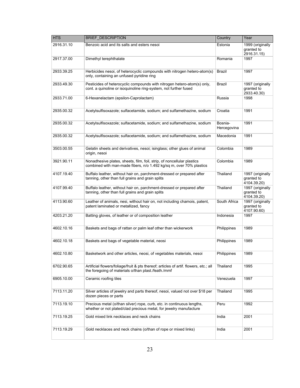| <b>HTS</b> | <b>BRIEF_DESCRIPTION</b>                                                                                                                      | Country                | Year                                          |
|------------|-----------------------------------------------------------------------------------------------------------------------------------------------|------------------------|-----------------------------------------------|
| 2916.31.10 | Benzoic acid and its salts and esters nesoi                                                                                                   | Estonia                | 1999 (originally<br>granted to<br>2916.31.15) |
| 2917.37.00 | Dimethyl terephthalate                                                                                                                        | Romania                | 1997                                          |
| 2933.39.25 | Herbicides nesoi, of heterocyclic compounds with nitrogen hetero-atom(s)<br>only, containing an unfused pyridine ring                         | Brazil                 | 1997                                          |
| 2933.49.30 | Pesticides of heterocyclic compounds with nitrogen hetero-atom(s) only,<br>cont. a quinoline or isoquinoline ring-system, not further fused   | Brazil                 | 1997 (originally<br>granted to<br>2933.40.30) |
| 2933.71.00 | 6-Hexanelactam (epsilon-Caprolactam)                                                                                                          | Russia                 | 1998                                          |
| 2935.00.32 | Acetylsulfisoxazole; sulfacetamide, sodium; and sulfamethazine, sodium                                                                        | Croatia                | 1991                                          |
| 2935.00.32 | Acetylsulfisoxazole; sulfacetamide, sodium; and sulfamethazine, sodium                                                                        | Bosnia-<br>Hercegovina | 1991                                          |
| 2935.00.32 | Acetylsulfisoxazole; sulfacetamide, sodium; and sulfamethazine, sodium                                                                        | Macedonia              | 1991                                          |
| 3503.00.55 | Gelatin sheets and derivatives, nesoi; isinglass; other glues of animal<br>origin, nesoi                                                      | Colombia               | 1989                                          |
| 3921.90.11 | Nonadhesive plates, sheets, film, foil, strip, of noncellular plastics<br>combined with man-made fibers, n/o 1.492 kg/sq m, over 70% plastics | Colombia               | 1989                                          |
| 4107.19.40 | Buffalo leather, without hair on, parchment-dressed or prepared after<br>tanning, other than full grains and grain splits                     | Thailand               | 1997 (originally<br>granted to<br>4104.39.20) |
| 4107.99.40 | Buffalo leather, without hair on, parchment-dressed or prepared after<br>tanning, other than full grains and grain splits                     | Thailand               | 1997 (originally<br>granted to<br>4104.39.20) |
| 4113.90.60 | Leather of animals, nesi, without hair on, not including chamois, patent,<br>patent laminated or metallized, fancy                            | South Africa           | 1997 (originally<br>granted to<br>4107.90.60) |
| 4203.21.20 | Batting gloves, of leather or of composition leather                                                                                          | Indonesia              | 1997                                          |
| 4602.10.16 | Baskets and bags of rattan or palm leaf other than wickerwork                                                                                 | Philippines            | 1989                                          |
| 4602.10.18 | Baskets and bags of vegetable material, neosi                                                                                                 | <b>Philippines</b>     | 1989                                          |
| 4602.10.80 | Basketwork and other articles, neosi, of vegetables materials, nesoi                                                                          | Philippines            | 1989                                          |
| 6702.90.65 | Artificial flowers/foliage/fruit & pts thereof; articles of artif. flowers, etc.; all<br>the foregoing of materials o/than plast./feath./mmf  | Thailand               | 1995                                          |
| 6905.10.00 | Ceramic roofing tiles                                                                                                                         | Venezuela              | 1997                                          |
| 7113.11.20 | Silver articles of jewelry and parts thereof, nesoi, valued not over \$18 per<br>dozen pieces or parts                                        | Thailand               | 1995                                          |
| 7113.19.10 | Precious metal (o/than silver) rope, curb, etc. in continuous lengths,<br>whether or not plated/clad precious metal, for jewelry manufacture  | Peru                   | 1992                                          |
| 7113.19.25 | Gold mixed link necklaces and neck chains                                                                                                     | India                  | 2001                                          |
| 7113.19.29 | Gold necklaces and neck chains (o/than of rope or mixed links)                                                                                | India                  | 2001                                          |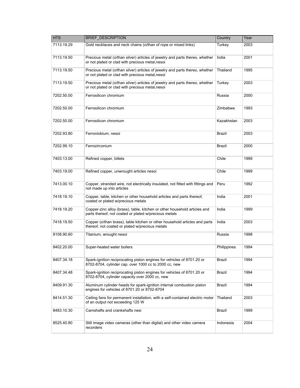| <b>HTS</b> | <b>BRIEF_DESCRIPTION</b>                                                                                                           | Country       | Year |
|------------|------------------------------------------------------------------------------------------------------------------------------------|---------------|------|
| 7113.19.29 | Gold necklaces and neck chains (o/than of rope or mixed links)                                                                     | Turkey        | 2003 |
| 7113.19.50 | Precious metal (o/than silver) articles of jewelry and parts thereo, whether<br>or not plated or clad with precious metal, nesoi   | India         | 2001 |
| 7113.19.50 | Precious metal (o/than silver) articles of jewelry and parts thereo, whether<br>or not plated or clad with precious metal, nesoi   | Thailand      | 1995 |
| 7113.19.50 | Precious metal (o/than silver) articles of jewelry and parts thereo, whether<br>or not plated or clad with precious metal, nesoi   | Turkey        | 2003 |
| 7202.50.00 | Ferrosilicon chromium                                                                                                              | Russia        | 2000 |
| 7202.50.00 | Ferrosilicon chromium                                                                                                              | Zimbabwe      | 1993 |
| 7202.50.00 | Ferrosilicon chromium                                                                                                              | Kazakhstan    | 2003 |
| 7202.93.80 | Ferroniobium, nesoi                                                                                                                | <b>Brazil</b> | 2003 |
| 7202.99.10 | Ferrozirconium                                                                                                                     | <b>Brazil</b> | 2000 |
| 7403.13.00 | Refined copper, billets                                                                                                            | Chile         | 1999 |
| 7403.19.00 | Refined copper, unwrought articles nesoi                                                                                           | Chile         | 1999 |
| 7413.00.10 | Copper, stranded wire, not electrically insulated, not fitted with fittings and<br>not made up into articles                       | Peru          | 1992 |
| 7418.19.10 | Copper, table, kitchen or other household articles and parts thereof,<br>coated or plated w/precious metals                        | India         | 2001 |
| 7418.19.20 | Copper-zinc alloy (brass), table, kitchen or other household articles and<br>parts thereof, not coated or plated w/precious metals | India         | 1999 |
| 7418.19.50 | Copper (o/than brass), table kitchen or other household articles and parts<br>thereof, not coated or plated w/precious metals      | India         | 2003 |
| 8108.90.60 | Titanium, wrought nesoi                                                                                                            | Russia        | 1998 |
| 8402.20.00 | Super-heated water boilers                                                                                                         | Philippines   | 1994 |
| 8407.34.18 | Spark-ignition reciprocating piston engines for vehicles of 8701.20 or<br>8702-8704, cylinder cap. over 1000 cc to 2000 cc, new    | Brazil        | 1994 |
| 8407.34.48 | Spark-ignition reciprocating piston engines for vehicles of 8701.20 or<br>8702-8704, cylinder capacity over 2000 cc, new           | Brazil        | 1994 |
| 8409.91.30 | Aluminum cylinder heads for spark-ignition internal combustion piston<br>engines for vehicles of 8701.20 or 8702-8704              | Brazil        | 1994 |
| 8414.51.30 | Ceiling fans for permanent installation, with a self-contained electric motor<br>of an output not exceeding 125 W                  | Thailand      | 2003 |
| 8483.10.30 | Camshafts and crankshafts nesi                                                                                                     | Brazil        | 1999 |
| 8525.40.80 | Still image video cameras (other than digital) and other video camera<br>recorders                                                 | Indonesia     | 2004 |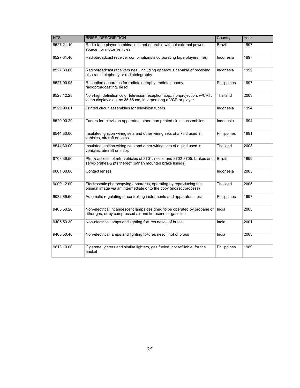| <b>HTS</b> | <b>BRIEF_DESCRIPTION</b>                                                                                                                     | Country       | Year |
|------------|----------------------------------------------------------------------------------------------------------------------------------------------|---------------|------|
| 8527.21.10 | Radio-tape player combinations not operable without external power<br>source, for motor vehicles                                             | Brazil        | 1997 |
| 8527.31.40 | Radiobroadcast receiver combinations incorporating tape players, nesi                                                                        | Indonesia     | 1997 |
| 8527.39.00 | Radiobroadcast receivers nesi, including apparatus capable of receiving<br>also radiotelephony or radiotelegraphy                            | Indonesia     | 1999 |
| 8527.90.95 | Reception apparatus for radiotelegraphy, radiotelephony,<br>radiobroadcasting, nesoi                                                         | Philippines   | 1997 |
| 8528.12.28 | Non-high definition color television reception app., nonprojection, w/CRT,<br>video display diag. ov 35.56 cm, incorporating a VCR or player | Thailand      | 2003 |
| 8529.90.01 | Printed circuit assemblies for television tuners                                                                                             | Indonesia     | 1994 |
| 8529.90.29 | Tuners for television apparatus, other than printed circuit assemblies                                                                       | Indonesia     | 1994 |
| 8544.30.00 | Insulated ignition wiring sets and other wiring sets of a kind used in<br>vehicles, aircraft or ships                                        | Philippines   | 1991 |
| 8544.30.00 | Insulated ignition wiring sets and other wiring sets of a kind used in<br>vehicles, aircraft or ships                                        | Thailand      | 2003 |
| 8708.39.50 | Pts. & access. of mtr. vehicles of 8701, nesoi, and 8702-8705, brakes and<br>servo-brakes & pts thereof (o/than mounted brake linings)       | <b>Brazil</b> | 1999 |
| 9001.30.00 | Contact lenses                                                                                                                               | Indonesia     | 2005 |
| 9009.12.00 | Electrostatic photocopying apparatus, operating by reproducing the<br>original image via an intermediate onto the copy (indirect process)    | Thailand      | 2005 |
| 9032.89.60 | Automatic regulating or controlling instruments and apparatus, nesi                                                                          | Philippines   | 1997 |
| 9405.50.20 | Non-electrical incandescent lamps designed to be operated by propane or<br>other gas, or by compressed air and kerosene or gasoline          | India         | 2003 |
| 9405.50.30 | Non-electrical lamps and lighting fixtures nesoi, of brass                                                                                   | India         | 2001 |
| 9405.50.40 | Non-electrical lamps and lighting fixtures nesoi, not of brass                                                                               | India         | 2003 |
| 9613.10.00 | Cigarette lighters and similar lighters, gas fueled, not refillable, for the<br>pocket                                                       | Philippines   | 1989 |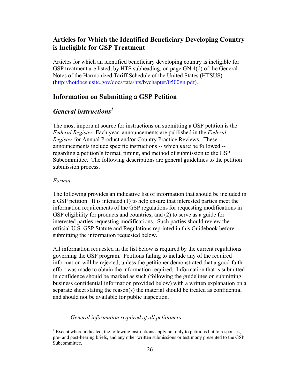# **Articles for Which the Identified Beneficiary Developing Country is Ineligible for GSP Treatment**

Articles for which an identified beneficiary developing country is ineligible for GSP treatment are listed, by HTS subheading, on page GN 4(d) of the General Notes of the Harmonized Tariff Schedule of the United States (HTSUS) ([http://hotdocs.usitc.gov/docs/tata/hts/bychapter/0500gn.pd](http://hotdocs.usitc.gov/docs/tata/hts/bychapter/0500gn.pdf)f).

## **Information on Submitting a GSP Petition**

# *General instructions<sup>1</sup>*

The most important source for instructions on submitting a GSP petition is the *Federal Register*. Each year, announcements are published in the *Federal Register* for Annual Product and/or Country Practice Reviews. These announcements include specific instructions -- which *must* be followed - regarding a petition's format, timing, and method of submission to the GSP Subcommittee. The following descriptions are general guidelines to the petition submission process.

#### *Format*

 $\overline{a}$ 

The following provides an indicative list of information that should be included in a GSP petition. It is intended (1) to help ensure that interested parties meet the information requirements of the GSP regulations for requesting modifications in GSP eligibility for products and countries; and (2) to serve as a guide for interested parties requesting modifications. Such parties should review the official U.S. GSP Statute and Regulations reprinted in this Guidebook before submitting the information requested below.

All information requested in the list below is required by the current regulations governing the GSP program. Petitions failing to include any of the required information will be rejected, unless the petitioner demonstrated that a good-faith effort was made to obtain the information required. Information that is submitted in confidence should be marked as such (following the guidelines on submitting business confidential information provided below) with a written explanation on a separate sheet stating the reason(s) the material should be treated as confidential and should not be available for public inspection.

## *General information required of all petitioners*

 $<sup>1</sup>$  Except where indicated, the following instructions apply not only to petitions but to responses,</sup> pre- and post-hearing briefs, and any other written submissions or testimony presented to the GSP Subcommittee.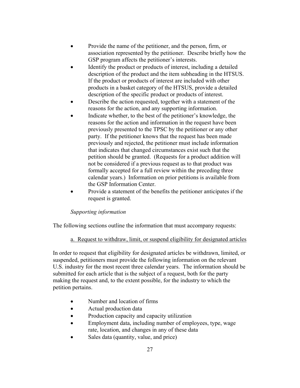- Provide the name of the petitioner, and the person, firm, or association represented by the petitioner. Describe briefly how the GSP program affects the petitioner's interests.
- Identify the product or products of interest, including a detailed description of the product and the item subheading in the HTSUS. If the product or products of interest are included with other products in a basket category of the HTSUS, provide a detailed description of the specific product or products of interest.
- Describe the action requested, together with a statement of the reasons for the action, and any supporting information.
- Indicate whether, to the best of the petitioner's knowledge, the reasons for the action and information in the request have been previously presented to the TPSC by the petitioner or any other party. If the petitioner knows that the request has been made previously and rejected, the petitioner must include information that indicates that changed circumstances exist such that the petition should be granted. (Requests for a product addition will not be considered if a previous request as to that product was formally accepted for a full review within the preceding three calendar years.) Information on prior petitions is available from the GSP Information Center.
- Provide a statement of the benefits the petitioner anticipates if the request is granted.

## *Supporting information*

The following sections outline the information that must accompany requests:

a. Request to withdraw, limit, or suspend eligibility for designated articles

In order to request that eligibility for designated articles be withdrawn, limited, or suspended, petitioners must provide the following information on the relevant U.S. industry for the most recent three calendar years. The information should be submitted for each article that is the subject of a request, both for the party making the request and, to the extent possible, for the industry to which the petition pertains.

- Number and location of firms
- Actual production data
- Production capacity and capacity utilization
- Employment data, including number of employees, type, wage rate, location, and changes in any of these data
- Sales data (quantity, value, and price)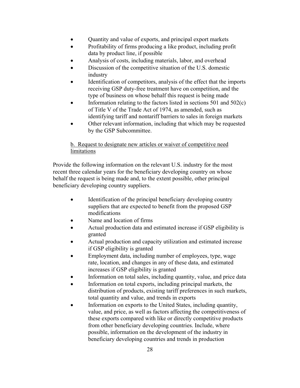- Quantity and value of exports, and principal export markets
- Profitability of firms producing a like product, including profit data by product line, if possible
- Analysis of costs, including materials, labor, and overhead
- Discussion of the competitive situation of the U.S. domestic industry
- Identification of competitors, analysis of the effect that the imports receiving GSP duty-free treatment have on competition, and the type of business on whose behalf this request is being made
- Information relating to the factors listed in sections  $501$  and  $502(c)$ of Title V of the Trade Act of 1974, as amended, such as identifying tariff and nontariff barriers to sales in foreign markets
- Other relevant information, including that which may be requested by the GSP Subcommittee.

## b. Request to designate new articles or waiver of competitive need limitations

Provide the following information on the relevant U.S. industry for the most recent three calendar years for the beneficiary developing country on whose behalf the request is being made and, to the extent possible, other principal beneficiary developing country suppliers.

- Identification of the principal beneficiary developing country suppliers that are expected to benefit from the proposed GSP modifications
- Name and location of firms
- Actual production data and estimated increase if GSP eligibility is granted
- Actual production and capacity utilization and estimated increase if GSP eligibility is granted
- Employment data, including number of employees, type, wage rate, location, and changes in any of these data, and estimated increases if GSP eligibility is granted
- Information on total sales, including quantity, value, and price data
- Information on total exports, including principal markets, the distribution of products, existing tariff preferences in such markets, total quantity and value, and trends in exports
- Information on exports to the United States, including quantity, value, and price, as well as factors affecting the competitiveness of these exports compared with like or directly competitive products from other beneficiary developing countries. Include, where possible, information on the development of the industry in beneficiary developing countries and trends in production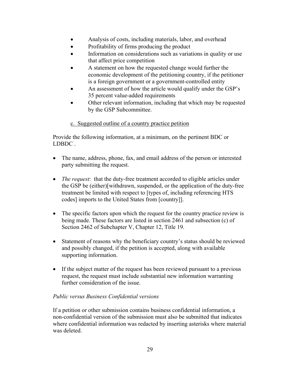- Analysis of costs, including materials, labor, and overhead
- Profitability of firms producing the product
- Information on considerations such as variations in quality or use that affect price competition
- A statement on how the requested change would further the economic development of the petitioning country, if the petitioner is a foreign government or a government-controlled entity
- An assessment of how the article would qualify under the GSP's 35 percent value-added requirements
- Other relevant information, including that which may be requested by the GSP Subcommittee.

## c. Suggested outline of a country practice petition

Provide the following information, at a minimum, on the pertinent BDC or LDBDC .

- The name, address, phone, fax, and email address of the person or interested party submitting the request.
- *The request*: that the duty-free treatment accorded to eligible articles under the GSP be (either)[withdrawn, suspended, or the application of the duty-free treatment be limited with respect to [types of, including referencing HTS codes] imports to the United States from [country]].
- The specific factors upon which the request for the country practice review is being made. These factors are listed in section 2461 and subsection (c) of Section 2462 of Subchapter V, Chapter 12, Title 19.
- Statement of reasons why the beneficiary country's status should be reviewed and possibly changed, if the petition is accepted, along with available supporting information.
- If the subject matter of the request has been reviewed pursuant to a previous request, the request must include substantial new information warranting further consideration of the issue.

## *Public versus Business Confidential versions*

If a petition or other submission contains business confidential information, a non-confidential version of the submission must also be submitted that indicates where confidential information was redacted by inserting asterisks where material was deleted.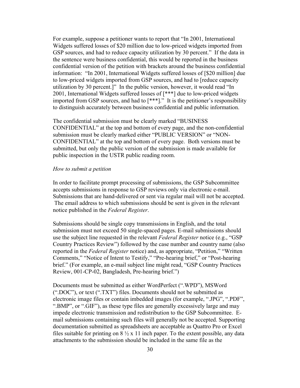For example, suppose a petitioner wants to report that "In 2001, International Widgets suffered losses of \$20 million due to low-priced widgets imported from GSP sources, and had to reduce capacity utilization by 30 percent." If the data in the sentence were business confidential, this would be reported in the business confidential version of the petition with brackets around the business confidential information: "In 2001, International Widgets suffered losses of [\$20 million] due to low-priced widgets imported from GSP sources, and had to [reduce capacity utilization by 30 percent.]" In the public version, however, it would read "In 2001, International Widgets suffered losses of [\*\*\*] due to low-priced widgets imported from GSP sources, and had to [\*\*\*]." It is the petitioner's responsibility to distinguish accurately between business confidential and public information.

The confidential submission must be clearly marked "BUSINESS CONFIDENTIAL" at the top and bottom of every page, and the non-confidential submission must be clearly marked either "PUBLIC VERSION" or "NON-CONFIDENTIAL" at the top and bottom of every page. Both versions must be submitted, but only the public version of the submission is made available for public inspection in the USTR public reading room.

#### *How to submit a petition*

In order to facilitate prompt processing of submissions, the GSP Subcommittee accepts submissions in response to GSP reviews only via electronic e-mail. Submissions that are hand-delivered or sent via regular mail will not be accepted. The email address to which submissions should be sent is given in the relevant notice published in the *Federal Register*.

Submissions should be single copy transmissions in English, and the total submission must not exceed 50 single-spaced pages. E-mail submissions should use the subject line requested in the relevant *Federal Register* notice (e.g., "GSP Country Practices Review") followed by the case number and country name (also reported in the *Federal Register* notice) and, as appropriate, "Petition," "Written Comments," "Notice of Intent to Testify," "Pre-hearing brief," or "Post-hearing brief." (For example, an e-mail subject line might read, "GSP Country Practices Review, 001-CP-02, Bangladesh, Pre-hearing brief.")

Documents must be submitted as either WordPerfect (".WPD"), MSWord (".DOC"), or text (".TXT") files. Documents should not be submitted as electronic image files or contain imbedded images (for example, ".JPG", ".PDF", ".BMP", or ".GIF"), as these type files are generally excessively large and may impede electronic transmission and redistribution to the GSP Subcommittee. Email submissions containing such files will generally not be accepted. Supporting documentation submitted as spreadsheets are acceptable as Quattro Pro or Excel files suitable for printing on  $8\frac{1}{2}$  x 11 inch paper. To the extent possible, any data attachments to the submission should be included in the same file as the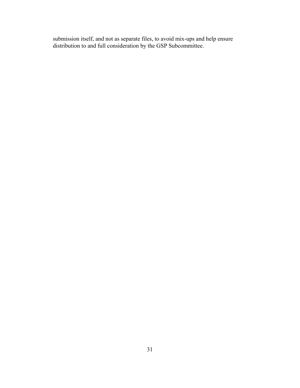submission itself, and not as separate files, to avoid mix-ups and help ensure distribution to and full consideration by the GSP Subcommittee.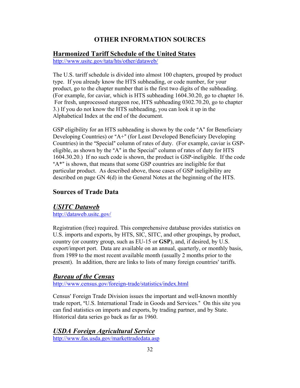# **OTHER INFORMATION SOURCES**

## **Harmonized Tariff Schedule of the United States**

<http://www.usitc.gov/tata/hts/other/dataweb/>

The U.S. tariff schedule is divided into almost 100 chapters, grouped by product type. If you already know the HTS subheading, or code number, for your product, go to the chapter number that is the first two digits of the subheading. (For example, for caviar, which is HTS subheading 1604.30.20, go to chapter 16. For fresh, unprocessed sturgeon roe, HTS subheading 0302.70.20, go to chapter 3.) If you do not know the HTS subheading, you can look it up in the Alphabetical Index at the end of the document.

GSP eligibility for an HTS subheading is shown by the code "A" for Beneficiary Developing Countries) or "A+" (for Least Developed Beneficiary Developing Countries) in the "Special" column of rates of duty. (For example, caviar is GSPeligible, as shown by the "A" in the Special" column of rates of duty for HTS 1604.30.20.) If no such code is shown, the product is GSP-ineligible. If the code " $A^*$ " is shown, that means that some GSP countries are ineligible for that particular product. As described above, those cases of GSP ineligibility are described on page GN 4(d) in the General Notes at the beginning of the HTS.

# **Sources of Trade Data**

## *USITC Dataweb*

<http://dataweb.usitc.gov/>

Registration (free) required. This comprehensive database provides statistics on U.S. imports and exports, by HTS, SIC, SITC, and other groupings, by product, country (or country group, such as EU-15 or **GSP**), and, if desired, by U.S. export/import port. Data are available on an annual, quarterly, or monthly basis, from 1989 to the most recent available month (usually 2 months prior to the present). In addition, there are links to lists of many foreign countries' tariffs.

# *Bureau of the Census*

<http://www.census.gov/foreign-trade/statistics/index.html>

Census' Foreign Trade Division issues the important and well-known monthly trade report, "U.S. International Trade in Goods and Services." On this site you can find statistics on imports and exports, by trading partner, and by State. Historical data series go back as far as 1960.

# *USDA Foreign Agricultural Service*

<http://www.fas.usda.gov/markettradedata.asp>